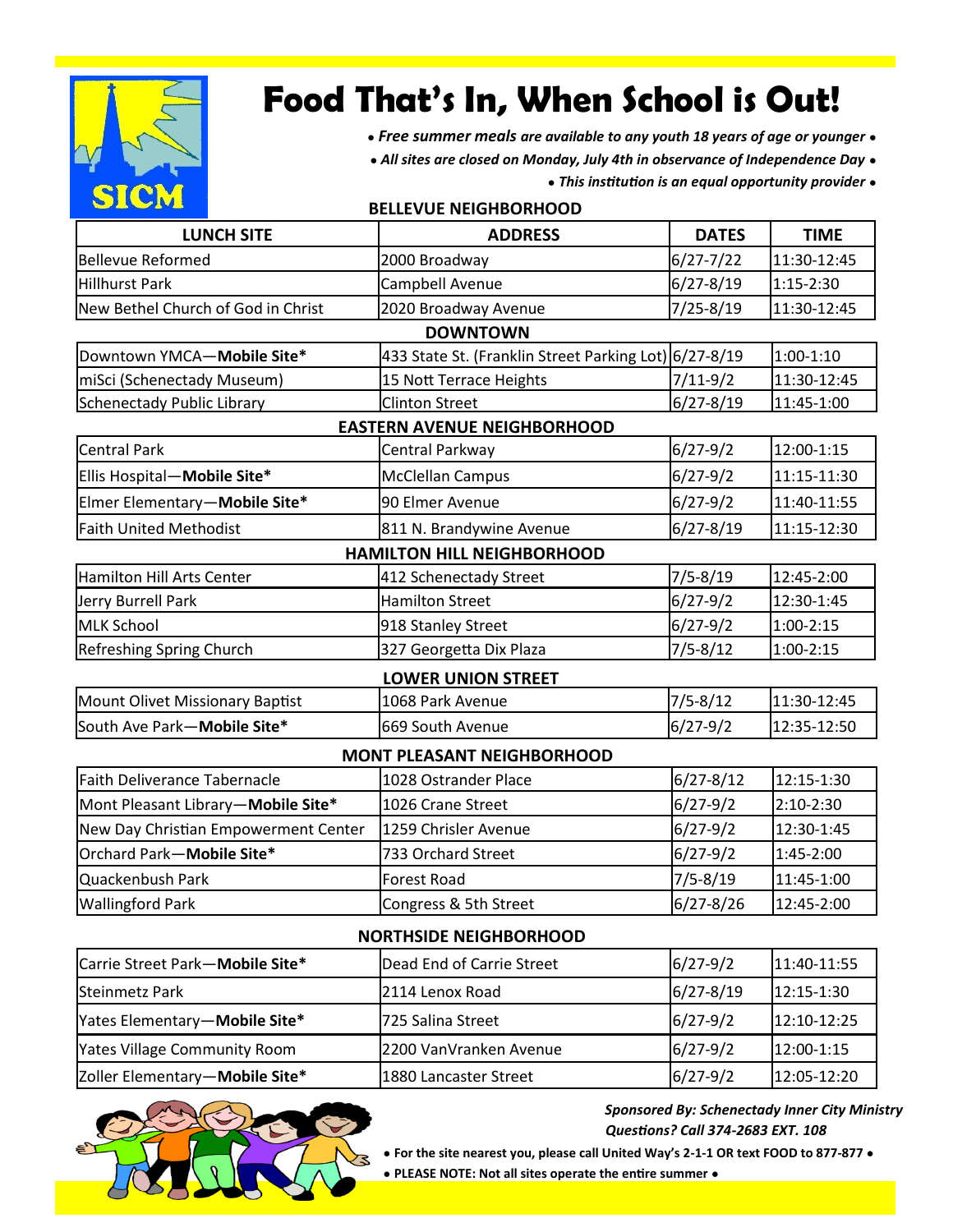

# **Food That's In, When School is Out!**

- *● Free summer meals are available to any youth 18 years of age or younger ●*
- *● All sites are closed on Monday, July 4th in observance of Independence Day ●*
	- *● This institution is an equal opportunity provider ●*

| <b>DATES</b><br><b>TIME</b><br><b>LUNCH SITE</b><br><b>Bellevue Reformed</b><br>2000 Broadway<br>$6/27 - 7/22$<br><b>Hillhurst Park</b><br>$6/27 - 8/19$<br>$1:15-2:30$<br>Campbell Avenue<br>$7/25 - 8/19$<br>New Bethel Church of God in Christ<br>2020 Broadway Avenue<br><b>DOWNTOWN</b><br>Downtown YMCA-Mobile Site*<br>433 State St. (Franklin Street Parking Lot) 6/27-8/19<br>$1:00-1:10$<br>miSci (Schenectady Museum)<br>15 Nott Terrace Heights<br>$7/11-9/2$<br>$6/27 - 8/19$<br><b>Schenectady Public Library</b><br>11:45-1:00<br><b>Clinton Street</b><br><b>EASTERN AVENUE NEIGHBORHOOD</b><br><b>Central Park</b><br>12:00-1:15<br>$6/27 - 9/2$<br>Central Parkway<br>Ellis Hospital-Mobile Site*<br>$6/27 - 9/2$<br><b>McClellan Campus</b><br>Elmer Elementary-Mobile Site*<br>$6/27 - 9/2$<br>90 Elmer Avenue<br>$6/27 - 8/19$<br>Faith United Methodist<br>811 N. Brandywine Avenue<br><b>HAMILTON HILL NEIGHBORHOOD</b><br>Hamilton Hill Arts Center<br>12:45-2:00<br>412 Schenectady Street<br>$7/5 - 8/19$<br>$6/27 - 9/2$<br><b>Hamilton Street</b><br>12:30-1:45<br>Jerry Burrell Park<br><b>MLK School</b><br>$6/27 - 9/2$<br>$1:00 - 2:15$<br>918 Stanley Street<br>327 Georgetta Dix Plaza<br>$7/5 - 8/12$<br>Refreshing Spring Church<br>$1:00 - 2:15$<br><b>LOWER UNION STREET</b><br>$7/5 - 8/12$<br>Mount Olivet Missionary Baptist<br>1068 Park Avenue<br>$6/27 - 9/2$<br>South Ave Park-Mobile Site*<br>669 South Avenue<br><b>MONT PLEASANT NEIGHBORHOOD</b><br>$6/27 - 8/12$<br>12:15-1:30<br><b>Faith Deliverance Tabernacle</b><br>1028 Ostrander Place<br>2:10-2:30<br>Mont Pleasant Library-Mobile Site*<br>1026 Crane Street<br>$6/27 - 9/2$<br>$6/27 - 9/2$<br>New Day Christian Empowerment Center<br>12:30-1:45<br>1259 Chrisler Avenue<br>Orchard Park-Mobile Site*<br>$6/27 - 9/2$<br>733 Orchard Street<br>1:45-2:00<br>$7/5 - 8/19$<br>11:45-1:00<br>Quackenbush Park<br><b>Forest Road</b><br>$6/27 - 8/26$<br>12:45-2:00<br><b>Wallingford Park</b><br>Congress & 5th Street | <b>BELLEVUE NEIGHBORHOOD</b> |                |  |             |  |  |  |
|----------------------------------------------------------------------------------------------------------------------------------------------------------------------------------------------------------------------------------------------------------------------------------------------------------------------------------------------------------------------------------------------------------------------------------------------------------------------------------------------------------------------------------------------------------------------------------------------------------------------------------------------------------------------------------------------------------------------------------------------------------------------------------------------------------------------------------------------------------------------------------------------------------------------------------------------------------------------------------------------------------------------------------------------------------------------------------------------------------------------------------------------------------------------------------------------------------------------------------------------------------------------------------------------------------------------------------------------------------------------------------------------------------------------------------------------------------------------------------------------------------------------------------------------------------------------------------------------------------------------------------------------------------------------------------------------------------------------------------------------------------------------------------------------------------------------------------------------------------------------------------------------------------------------------------------------------------------------------------------------------------------------------------|------------------------------|----------------|--|-------------|--|--|--|
|                                                                                                                                                                                                                                                                                                                                                                                                                                                                                                                                                                                                                                                                                                                                                                                                                                                                                                                                                                                                                                                                                                                                                                                                                                                                                                                                                                                                                                                                                                                                                                                                                                                                                                                                                                                                                                                                                                                                                                                                                                  |                              | <b>ADDRESS</b> |  |             |  |  |  |
|                                                                                                                                                                                                                                                                                                                                                                                                                                                                                                                                                                                                                                                                                                                                                                                                                                                                                                                                                                                                                                                                                                                                                                                                                                                                                                                                                                                                                                                                                                                                                                                                                                                                                                                                                                                                                                                                                                                                                                                                                                  |                              |                |  | 11:30-12:45 |  |  |  |
|                                                                                                                                                                                                                                                                                                                                                                                                                                                                                                                                                                                                                                                                                                                                                                                                                                                                                                                                                                                                                                                                                                                                                                                                                                                                                                                                                                                                                                                                                                                                                                                                                                                                                                                                                                                                                                                                                                                                                                                                                                  |                              |                |  |             |  |  |  |
|                                                                                                                                                                                                                                                                                                                                                                                                                                                                                                                                                                                                                                                                                                                                                                                                                                                                                                                                                                                                                                                                                                                                                                                                                                                                                                                                                                                                                                                                                                                                                                                                                                                                                                                                                                                                                                                                                                                                                                                                                                  |                              |                |  | 11:30-12:45 |  |  |  |
|                                                                                                                                                                                                                                                                                                                                                                                                                                                                                                                                                                                                                                                                                                                                                                                                                                                                                                                                                                                                                                                                                                                                                                                                                                                                                                                                                                                                                                                                                                                                                                                                                                                                                                                                                                                                                                                                                                                                                                                                                                  |                              |                |  |             |  |  |  |
|                                                                                                                                                                                                                                                                                                                                                                                                                                                                                                                                                                                                                                                                                                                                                                                                                                                                                                                                                                                                                                                                                                                                                                                                                                                                                                                                                                                                                                                                                                                                                                                                                                                                                                                                                                                                                                                                                                                                                                                                                                  |                              |                |  |             |  |  |  |
|                                                                                                                                                                                                                                                                                                                                                                                                                                                                                                                                                                                                                                                                                                                                                                                                                                                                                                                                                                                                                                                                                                                                                                                                                                                                                                                                                                                                                                                                                                                                                                                                                                                                                                                                                                                                                                                                                                                                                                                                                                  |                              |                |  | 11:30-12:45 |  |  |  |
|                                                                                                                                                                                                                                                                                                                                                                                                                                                                                                                                                                                                                                                                                                                                                                                                                                                                                                                                                                                                                                                                                                                                                                                                                                                                                                                                                                                                                                                                                                                                                                                                                                                                                                                                                                                                                                                                                                                                                                                                                                  |                              |                |  |             |  |  |  |
|                                                                                                                                                                                                                                                                                                                                                                                                                                                                                                                                                                                                                                                                                                                                                                                                                                                                                                                                                                                                                                                                                                                                                                                                                                                                                                                                                                                                                                                                                                                                                                                                                                                                                                                                                                                                                                                                                                                                                                                                                                  |                              |                |  |             |  |  |  |
|                                                                                                                                                                                                                                                                                                                                                                                                                                                                                                                                                                                                                                                                                                                                                                                                                                                                                                                                                                                                                                                                                                                                                                                                                                                                                                                                                                                                                                                                                                                                                                                                                                                                                                                                                                                                                                                                                                                                                                                                                                  |                              |                |  |             |  |  |  |
|                                                                                                                                                                                                                                                                                                                                                                                                                                                                                                                                                                                                                                                                                                                                                                                                                                                                                                                                                                                                                                                                                                                                                                                                                                                                                                                                                                                                                                                                                                                                                                                                                                                                                                                                                                                                                                                                                                                                                                                                                                  |                              |                |  | 11:15-11:30 |  |  |  |
|                                                                                                                                                                                                                                                                                                                                                                                                                                                                                                                                                                                                                                                                                                                                                                                                                                                                                                                                                                                                                                                                                                                                                                                                                                                                                                                                                                                                                                                                                                                                                                                                                                                                                                                                                                                                                                                                                                                                                                                                                                  |                              |                |  | 11:40-11:55 |  |  |  |
|                                                                                                                                                                                                                                                                                                                                                                                                                                                                                                                                                                                                                                                                                                                                                                                                                                                                                                                                                                                                                                                                                                                                                                                                                                                                                                                                                                                                                                                                                                                                                                                                                                                                                                                                                                                                                                                                                                                                                                                                                                  |                              |                |  | 11:15-12:30 |  |  |  |
|                                                                                                                                                                                                                                                                                                                                                                                                                                                                                                                                                                                                                                                                                                                                                                                                                                                                                                                                                                                                                                                                                                                                                                                                                                                                                                                                                                                                                                                                                                                                                                                                                                                                                                                                                                                                                                                                                                                                                                                                                                  |                              |                |  |             |  |  |  |
|                                                                                                                                                                                                                                                                                                                                                                                                                                                                                                                                                                                                                                                                                                                                                                                                                                                                                                                                                                                                                                                                                                                                                                                                                                                                                                                                                                                                                                                                                                                                                                                                                                                                                                                                                                                                                                                                                                                                                                                                                                  |                              |                |  |             |  |  |  |
|                                                                                                                                                                                                                                                                                                                                                                                                                                                                                                                                                                                                                                                                                                                                                                                                                                                                                                                                                                                                                                                                                                                                                                                                                                                                                                                                                                                                                                                                                                                                                                                                                                                                                                                                                                                                                                                                                                                                                                                                                                  |                              |                |  |             |  |  |  |
|                                                                                                                                                                                                                                                                                                                                                                                                                                                                                                                                                                                                                                                                                                                                                                                                                                                                                                                                                                                                                                                                                                                                                                                                                                                                                                                                                                                                                                                                                                                                                                                                                                                                                                                                                                                                                                                                                                                                                                                                                                  |                              |                |  |             |  |  |  |
|                                                                                                                                                                                                                                                                                                                                                                                                                                                                                                                                                                                                                                                                                                                                                                                                                                                                                                                                                                                                                                                                                                                                                                                                                                                                                                                                                                                                                                                                                                                                                                                                                                                                                                                                                                                                                                                                                                                                                                                                                                  |                              |                |  |             |  |  |  |
|                                                                                                                                                                                                                                                                                                                                                                                                                                                                                                                                                                                                                                                                                                                                                                                                                                                                                                                                                                                                                                                                                                                                                                                                                                                                                                                                                                                                                                                                                                                                                                                                                                                                                                                                                                                                                                                                                                                                                                                                                                  |                              |                |  |             |  |  |  |
|                                                                                                                                                                                                                                                                                                                                                                                                                                                                                                                                                                                                                                                                                                                                                                                                                                                                                                                                                                                                                                                                                                                                                                                                                                                                                                                                                                                                                                                                                                                                                                                                                                                                                                                                                                                                                                                                                                                                                                                                                                  |                              |                |  | 11:30-12:45 |  |  |  |
|                                                                                                                                                                                                                                                                                                                                                                                                                                                                                                                                                                                                                                                                                                                                                                                                                                                                                                                                                                                                                                                                                                                                                                                                                                                                                                                                                                                                                                                                                                                                                                                                                                                                                                                                                                                                                                                                                                                                                                                                                                  |                              |                |  | 12:35-12:50 |  |  |  |
|                                                                                                                                                                                                                                                                                                                                                                                                                                                                                                                                                                                                                                                                                                                                                                                                                                                                                                                                                                                                                                                                                                                                                                                                                                                                                                                                                                                                                                                                                                                                                                                                                                                                                                                                                                                                                                                                                                                                                                                                                                  |                              |                |  |             |  |  |  |
|                                                                                                                                                                                                                                                                                                                                                                                                                                                                                                                                                                                                                                                                                                                                                                                                                                                                                                                                                                                                                                                                                                                                                                                                                                                                                                                                                                                                                                                                                                                                                                                                                                                                                                                                                                                                                                                                                                                                                                                                                                  |                              |                |  |             |  |  |  |
|                                                                                                                                                                                                                                                                                                                                                                                                                                                                                                                                                                                                                                                                                                                                                                                                                                                                                                                                                                                                                                                                                                                                                                                                                                                                                                                                                                                                                                                                                                                                                                                                                                                                                                                                                                                                                                                                                                                                                                                                                                  |                              |                |  |             |  |  |  |
|                                                                                                                                                                                                                                                                                                                                                                                                                                                                                                                                                                                                                                                                                                                                                                                                                                                                                                                                                                                                                                                                                                                                                                                                                                                                                                                                                                                                                                                                                                                                                                                                                                                                                                                                                                                                                                                                                                                                                                                                                                  |                              |                |  |             |  |  |  |
|                                                                                                                                                                                                                                                                                                                                                                                                                                                                                                                                                                                                                                                                                                                                                                                                                                                                                                                                                                                                                                                                                                                                                                                                                                                                                                                                                                                                                                                                                                                                                                                                                                                                                                                                                                                                                                                                                                                                                                                                                                  |                              |                |  |             |  |  |  |
|                                                                                                                                                                                                                                                                                                                                                                                                                                                                                                                                                                                                                                                                                                                                                                                                                                                                                                                                                                                                                                                                                                                                                                                                                                                                                                                                                                                                                                                                                                                                                                                                                                                                                                                                                                                                                                                                                                                                                                                                                                  |                              |                |  |             |  |  |  |
|                                                                                                                                                                                                                                                                                                                                                                                                                                                                                                                                                                                                                                                                                                                                                                                                                                                                                                                                                                                                                                                                                                                                                                                                                                                                                                                                                                                                                                                                                                                                                                                                                                                                                                                                                                                                                                                                                                                                                                                                                                  |                              |                |  |             |  |  |  |
| <b>NORTHSIDE NEIGHBORHOOD</b>                                                                                                                                                                                                                                                                                                                                                                                                                                                                                                                                                                                                                                                                                                                                                                                                                                                                                                                                                                                                                                                                                                                                                                                                                                                                                                                                                                                                                                                                                                                                                                                                                                                                                                                                                                                                                                                                                                                                                                                                    |                              |                |  |             |  |  |  |
| Carrie Street Park-Mobile Site*<br>Dead End of Carrie Street<br>$6/27 - 9/2$                                                                                                                                                                                                                                                                                                                                                                                                                                                                                                                                                                                                                                                                                                                                                                                                                                                                                                                                                                                                                                                                                                                                                                                                                                                                                                                                                                                                                                                                                                                                                                                                                                                                                                                                                                                                                                                                                                                                                     |                              |                |  | 11:40-11:55 |  |  |  |
| 2114 Lenox Road<br>$6/27 - 8/19$<br>12:15-1:30<br><b>Steinmetz Park</b>                                                                                                                                                                                                                                                                                                                                                                                                                                                                                                                                                                                                                                                                                                                                                                                                                                                                                                                                                                                                                                                                                                                                                                                                                                                                                                                                                                                                                                                                                                                                                                                                                                                                                                                                                                                                                                                                                                                                                          |                              |                |  |             |  |  |  |
| Yates Elementary-Mobile Site*<br>725 Salina Street<br>$6/27 - 9/2$                                                                                                                                                                                                                                                                                                                                                                                                                                                                                                                                                                                                                                                                                                                                                                                                                                                                                                                                                                                                                                                                                                                                                                                                                                                                                                                                                                                                                                                                                                                                                                                                                                                                                                                                                                                                                                                                                                                                                               |                              |                |  | 12:10-12:25 |  |  |  |
| <b>Yates Village Community Room</b><br>12:00-1:15<br>2200 VanVranken Avenue<br>$6/27 - 9/2$                                                                                                                                                                                                                                                                                                                                                                                                                                                                                                                                                                                                                                                                                                                                                                                                                                                                                                                                                                                                                                                                                                                                                                                                                                                                                                                                                                                                                                                                                                                                                                                                                                                                                                                                                                                                                                                                                                                                      |                              |                |  |             |  |  |  |
| Zoller Elementary-Mobile Site*<br>1880 Lancaster Street<br>$6/27 - 9/2$                                                                                                                                                                                                                                                                                                                                                                                                                                                                                                                                                                                                                                                                                                                                                                                                                                                                                                                                                                                                                                                                                                                                                                                                                                                                                                                                                                                                                                                                                                                                                                                                                                                                                                                                                                                                                                                                                                                                                          |                              |                |  | 12:05-12:20 |  |  |  |

**BELLEVUE NEIGHBORHOOD**



 *Sponsored By: Schenectady Inner City Ministry Questions? Call 374-2683 EXT. 108*

*●* **For the site nearest you, please call United Way's 2-1-1 OR text FOOD to 877-877** *●*

*●* **PLEASE NOTE: Not all sites operate the entire summer** *●*